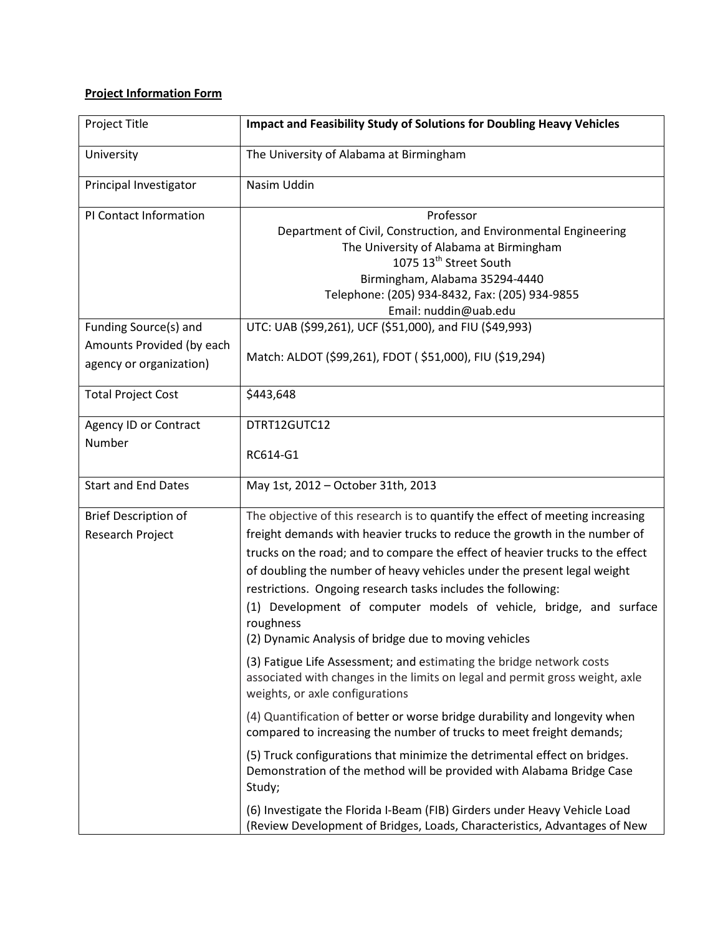## **Project Information Form**

| Project Title                                                                 | <b>Impact and Feasibility Study of Solutions for Doubling Heavy Vehicles</b>                                                                                                                                                                                                                                                                                                                                                                                                                                                        |
|-------------------------------------------------------------------------------|-------------------------------------------------------------------------------------------------------------------------------------------------------------------------------------------------------------------------------------------------------------------------------------------------------------------------------------------------------------------------------------------------------------------------------------------------------------------------------------------------------------------------------------|
| University                                                                    | The University of Alabama at Birmingham                                                                                                                                                                                                                                                                                                                                                                                                                                                                                             |
| Principal Investigator                                                        | Nasim Uddin                                                                                                                                                                                                                                                                                                                                                                                                                                                                                                                         |
| PI Contact Information                                                        | Professor<br>Department of Civil, Construction, and Environmental Engineering<br>The University of Alabama at Birmingham<br>1075 13 <sup>th</sup> Street South<br>Birmingham, Alabama 35294-4440<br>Telephone: (205) 934-8432, Fax: (205) 934-9855<br>Email: nuddin@uab.edu                                                                                                                                                                                                                                                         |
| Funding Source(s) and<br>Amounts Provided (by each<br>agency or organization) | UTC: UAB (\$99,261), UCF (\$51,000), and FIU (\$49,993)<br>Match: ALDOT (\$99,261), FDOT (\$51,000), FIU (\$19,294)                                                                                                                                                                                                                                                                                                                                                                                                                 |
| <b>Total Project Cost</b>                                                     | \$443,648                                                                                                                                                                                                                                                                                                                                                                                                                                                                                                                           |
| <b>Agency ID or Contract</b><br>Number                                        | DTRT12GUTC12<br>RC614-G1                                                                                                                                                                                                                                                                                                                                                                                                                                                                                                            |
| <b>Start and End Dates</b>                                                    | May 1st, 2012 - October 31th, 2013                                                                                                                                                                                                                                                                                                                                                                                                                                                                                                  |
| <b>Brief Description of</b><br>Research Project                               | The objective of this research is to quantify the effect of meeting increasing<br>freight demands with heavier trucks to reduce the growth in the number of<br>trucks on the road; and to compare the effect of heavier trucks to the effect<br>of doubling the number of heavy vehicles under the present legal weight<br>restrictions. Ongoing research tasks includes the following:<br>(1) Development of computer models of vehicle, bridge, and surface<br>roughness<br>(2) Dynamic Analysis of bridge due to moving vehicles |
|                                                                               | (3) Fatigue Life Assessment; and estimating the bridge network costs<br>associated with changes in the limits on legal and permit gross weight, axle<br>weights, or axle configurations                                                                                                                                                                                                                                                                                                                                             |
|                                                                               | (4) Quantification of better or worse bridge durability and longevity when<br>compared to increasing the number of trucks to meet freight demands;                                                                                                                                                                                                                                                                                                                                                                                  |
|                                                                               | (5) Truck configurations that minimize the detrimental effect on bridges.<br>Demonstration of the method will be provided with Alabama Bridge Case<br>Study;                                                                                                                                                                                                                                                                                                                                                                        |
|                                                                               | (6) Investigate the Florida I-Beam (FIB) Girders under Heavy Vehicle Load<br>(Review Development of Bridges, Loads, Characteristics, Advantages of New                                                                                                                                                                                                                                                                                                                                                                              |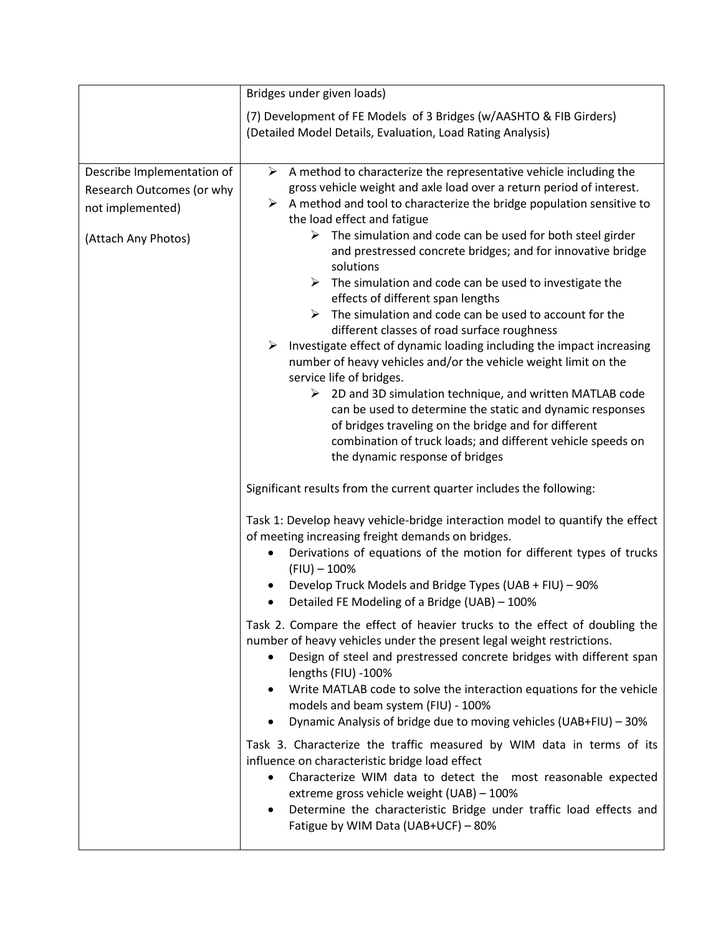|                                                                                                    | Bridges under given loads)                                                                                                                                                                                                                                                                                                                                                                                                                                                                                                                                                                                                                                                                                                                                                                                                                                                                                                                                                                                                                                                                                                                     |
|----------------------------------------------------------------------------------------------------|------------------------------------------------------------------------------------------------------------------------------------------------------------------------------------------------------------------------------------------------------------------------------------------------------------------------------------------------------------------------------------------------------------------------------------------------------------------------------------------------------------------------------------------------------------------------------------------------------------------------------------------------------------------------------------------------------------------------------------------------------------------------------------------------------------------------------------------------------------------------------------------------------------------------------------------------------------------------------------------------------------------------------------------------------------------------------------------------------------------------------------------------|
|                                                                                                    | (7) Development of FE Models of 3 Bridges (w/AASHTO & FIB Girders)<br>(Detailed Model Details, Evaluation, Load Rating Analysis)                                                                                                                                                                                                                                                                                                                                                                                                                                                                                                                                                                                                                                                                                                                                                                                                                                                                                                                                                                                                               |
| Describe Implementation of<br>Research Outcomes (or why<br>not implemented)<br>(Attach Any Photos) | $\triangleright$ A method to characterize the representative vehicle including the<br>gross vehicle weight and axle load over a return period of interest.<br>$\triangleright$ A method and tool to characterize the bridge population sensitive to<br>the load effect and fatigue<br>$\triangleright$ The simulation and code can be used for both steel girder<br>and prestressed concrete bridges; and for innovative bridge<br>solutions<br>The simulation and code can be used to investigate the<br>➤<br>effects of different span lengths<br>The simulation and code can be used to account for the<br>➤<br>different classes of road surface roughness<br>Investigate effect of dynamic loading including the impact increasing<br>➤<br>number of heavy vehicles and/or the vehicle weight limit on the<br>service life of bridges.<br>$\triangleright$ 2D and 3D simulation technique, and written MATLAB code<br>can be used to determine the static and dynamic responses<br>of bridges traveling on the bridge and for different<br>combination of truck loads; and different vehicle speeds on<br>the dynamic response of bridges |
|                                                                                                    | Significant results from the current quarter includes the following:<br>Task 1: Develop heavy vehicle-bridge interaction model to quantify the effect<br>of meeting increasing freight demands on bridges.<br>Derivations of equations of the motion for different types of trucks<br>٠<br>$(FIU) - 100\%$<br>Develop Truck Models and Bridge Types (UAB + FIU) - 90%<br>Detailed FE Modeling of a Bridge (UAB) - 100%<br>٠                                                                                                                                                                                                                                                                                                                                                                                                                                                                                                                                                                                                                                                                                                                    |
|                                                                                                    | Task 2. Compare the effect of heavier trucks to the effect of doubling the<br>number of heavy vehicles under the present legal weight restrictions.<br>Design of steel and prestressed concrete bridges with different span<br>$\bullet$<br>lengths (FIU) -100%<br>Write MATLAB code to solve the interaction equations for the vehicle<br>٠<br>models and beam system (FIU) - 100%<br>Dynamic Analysis of bridge due to moving vehicles (UAB+FIU) - 30%<br>$\bullet$<br>Task 3. Characterize the traffic measured by WIM data in terms of its<br>influence on characteristic bridge load effect<br>Characterize WIM data to detect the most reasonable expected<br>$\bullet$<br>extreme gross vehicle weight (UAB) - 100%<br>Determine the characteristic Bridge under traffic load effects and<br>$\bullet$<br>Fatigue by WIM Data (UAB+UCF) - 80%                                                                                                                                                                                                                                                                                           |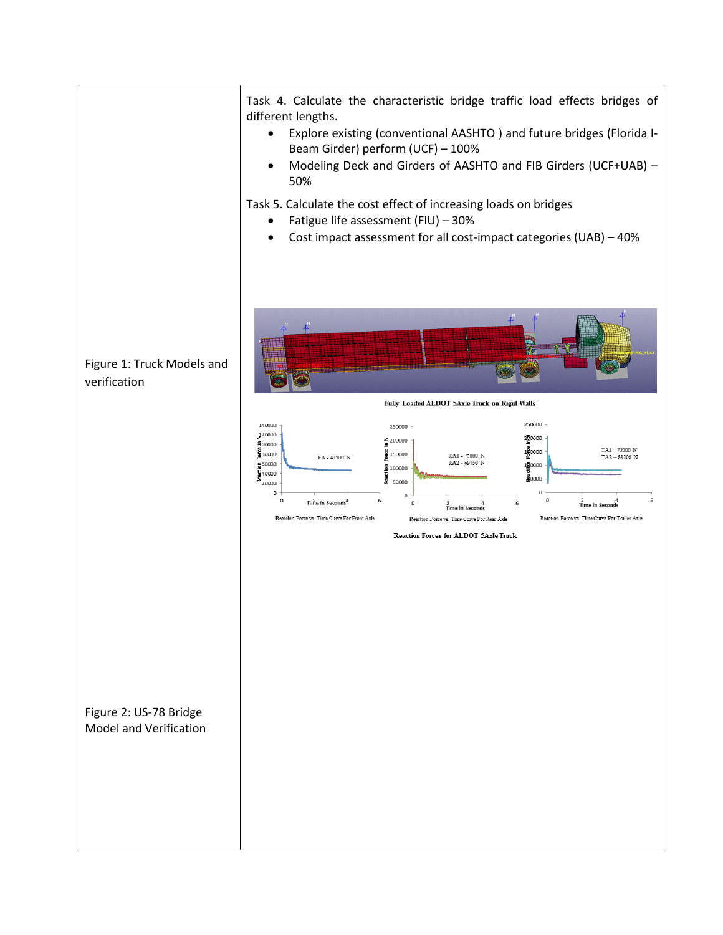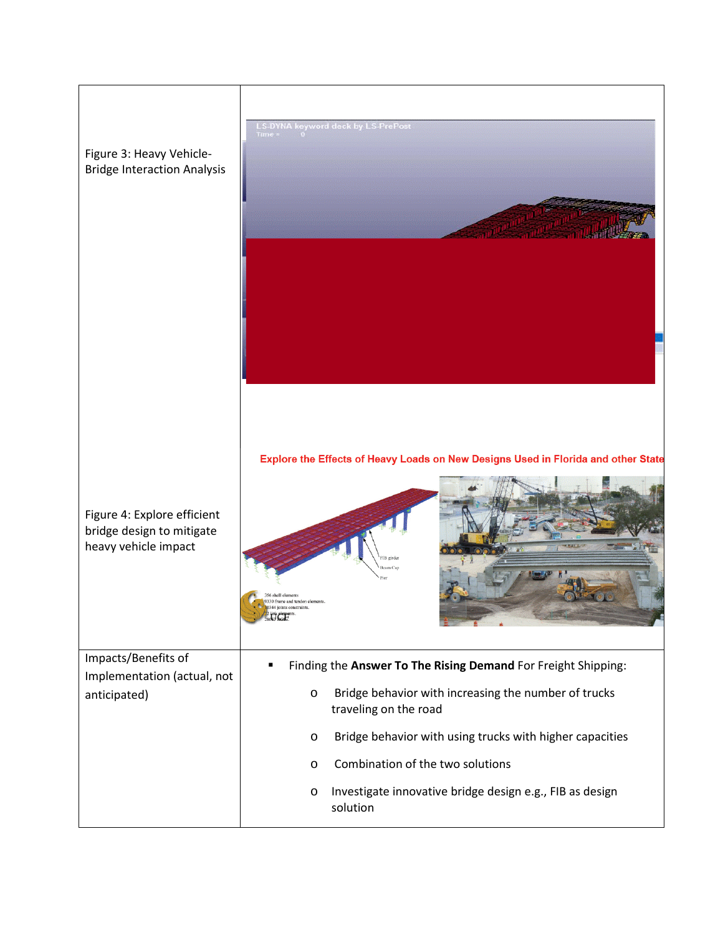